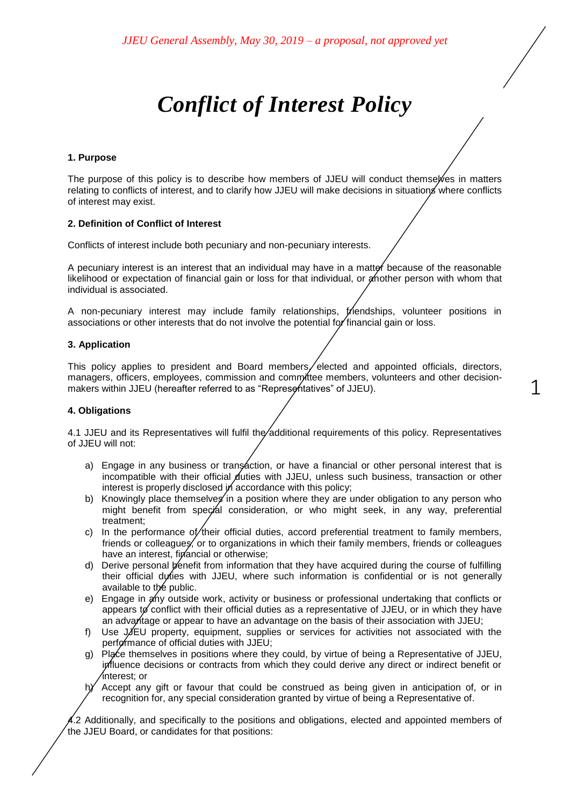# *Conflict of Interest Policy*

### **1. Purpose**

The purpose of this policy is to describe how members of JJEU will conduct themselves in matters relating to conflicts of interest, and to clarify how JJEU will make decisions in situations where conflicts of interest may exist.

#### **2. Definition of Conflict of Interest**

Conflicts of interest include both pecuniary and non-pecuniary interests.

A pecuniary interest is an interest that an individual may have in a matter because of the reasonable likelihood or expectation of financial gain or loss for that individual, or another person with whom that individual is associated.

A non-pecuniary interest may include family relationships, friendships, volunteer positions in associations or other interests that do not involve the potential for financial gain or loss.

## **3. Application**

This policy applies to president and Board members, elected and appointed officials, directors, managers, officers, employees, commission and committee members, volunteers and other decisionmakers within JJEU (hereafter referred to as "Representatives" of JJEU).

1

## **4. Obligations**

4.1 JJEU and its Representatives will fulfil the additional requirements of this policy. Representatives of JJEU will not:

- a) Engage in any business or transaction, or have a financial or other personal interest that is incompatible with their official duties with JJEU, unless such business, transaction or other interest is properly disclosed in accordance with this policy;
- b) Knowingly place themselves in a position where they are under obligation to any person who might benefit from special consideration, or who might seek, in any way, preferential treatment;
- c) In the performance of/their official duties, accord preferential treatment to family members, friends or colleagues, or to organizations in which their family members, friends or colleagues have an interest, financial or otherwise;
- d) Derive personal benefit from information that they have acquired during the course of fulfilling their official duties with JJEU, where such information is confidential or is not generally available to the public.
- e) Engage in any outside work, activity or business or professional undertaking that conflicts or appears to conflict with their official duties as a representative of JJEU, or in which they have an advantage or appear to have an advantage on the basis of their association with JJEU;
- f) Use JJEU property, equipment, supplies or services for activities not associated with the performance of official duties with JJEU;
- g) Place themselves in positions where they could, by virtue of being a Representative of JJEU, influence decisions or contracts from which they could derive any direct or indirect benefit or interest; or
- $h$ <sup> $\angle$ </sup> Accept any gift or favour that could be construed as being given in anticipation of, or in recognition for, any special consideration granted by virtue of being a Representative of.

4.2 Additionally, and specifically to the positions and obligations, elected and appointed members of the JJEU Board, or candidates for that positions: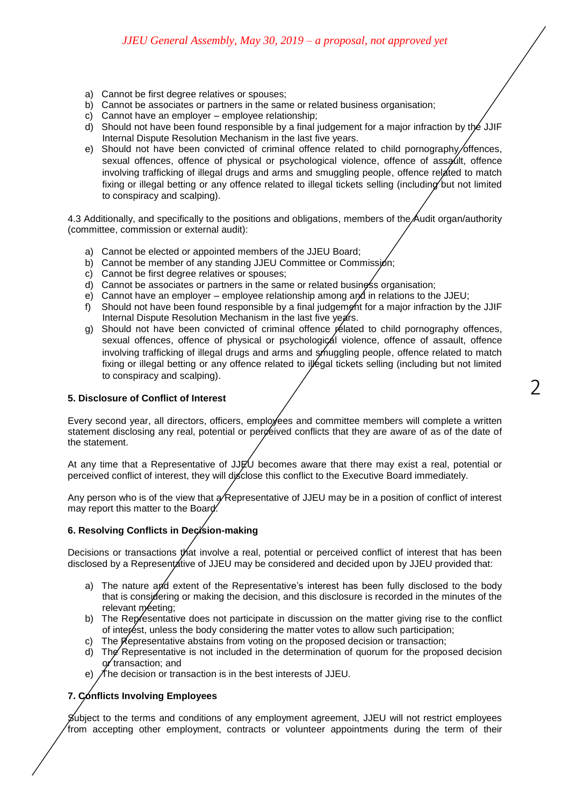- a) Cannot be first degree relatives or spouses;
- b) Cannot be associates or partners in the same or related business organisation;
- c) Cannot have an employer employee relationship;
- d) Should not have been found responsible by a final judgement for a major infraction by the JJIF Internal Dispute Resolution Mechanism in the last five years.
- e) Should not have been convicted of criminal offence related to child pornography/offences, sexual offences, offence of physical or psychological violence, offence of assault, offence involving trafficking of illegal drugs and arms and smuggling people, offence related to match fixing or illegal betting or any offence related to illegal tickets selling (including but not limited to conspiracy and scalping).

4.3 Additionally, and specifically to the positions and obligations, members of the Audit organ/authority (committee, commission or external audit):

- a) Cannot be elected or appointed members of the JJEU Board;
- b) Cannot be member of any standing JJEU Committee or Commission;
- c) Cannot be first degree relatives or spouses;
- d) Cannot be associates or partners in the same or related business organisation;
- e) Cannot have an employer employee relationship among and in relations to the JJEU;
- f) Should not have been found responsible by a final judgement for a major infraction by the JJIF Internal Dispute Resolution Mechanism in the last five years.
- g) Should not have been convicted of criminal offence related to child pornography offences, sexual offences, offence of physical or psychological violence, offence of assault, offence involving trafficking of illegal drugs and arms and smuggling people, offence related to match fixing or illegal betting or any offence related to illegal tickets selling (including but not limited to conspiracy and scalping).

#### **5. Disclosure of Conflict of Interest**

Every second year, all directors, officers, employees and committee members will complete a written statement disclosing any real, potential or perceived conflicts that they are aware of as of the date of the statement.

At any time that a Representative of JJEU becomes aware that there may exist a real, potential or perceived conflict of interest, they will disclose this conflict to the Executive Board immediately.

Any person who is of the view that  $\alpha$  Representative of JJEU may be in a position of conflict of interest may report this matter to the Board.

# **6. Resolving Conflicts in Decision-making**

Decisions or transactions that involve a real, potential or perceived conflict of interest that has been disclosed by a Representative of JJEU may be considered and decided upon by JJEU provided that:

- a) The nature and extent of the Representative's interest has been fully disclosed to the body that is considering or making the decision, and this disclosure is recorded in the minutes of the relevant meeting;
- b) The Representative does not participate in discussion on the matter giving rise to the conflict of interest, unless the body considering the matter votes to allow such participation;
- c) The  $\cancel{\mathsf{K}}$ epresentative abstains from voting on the proposed decision or transaction;
- d) The Representative is not included in the determination of quorum for the proposed decision or transaction; and
- e)  $\Lambda$  he decision or transaction is in the best interests of JJEU.

## **7. Conflicts Involving Employees**

Subject to the terms and conditions of any employment agreement, JJEU will not restrict employees from accepting other employment, contracts or volunteer appointments during the term of their